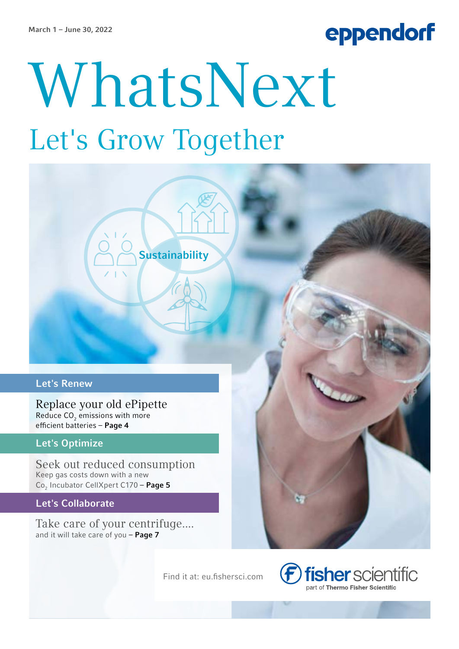# eppendorf

# WhatsNext Let's Grow Together

**Sustainability** 

#### Let's Renew

Replace your old ePipette Reduce  $\mathsf{CO}_2$  emissions with more efficient batteries – Page 4

#### **Let's Optimize**

Seek out reduced consumption Keep gas costs down with a new Co<sub>2</sub> Incubator CellXpert C170 – **Page 5** 

Let's Collaborate

Take care of your centrifuge.... and it will take care of you - Page 7

Find it at: eu.fishersci.com

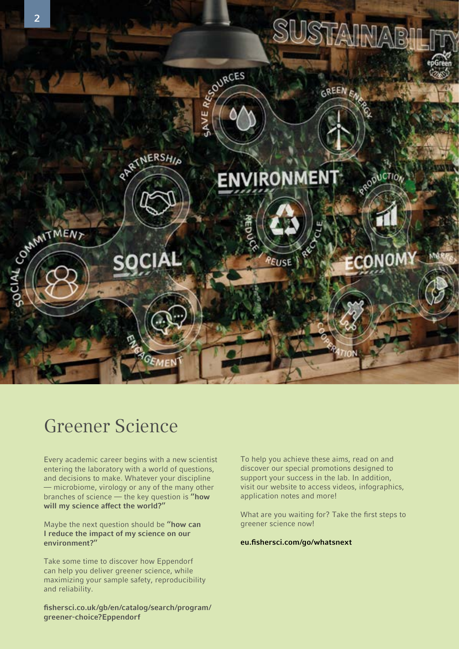

### Greener Science

Every academic career begins with a new scientist entering the laboratory with a world of questions, and decisions to make. Whatever your discipline — microbiome, virology or any of the many other branches of science — the key question is "how will my science affect the world?"

Maybe the next question should be "how can I reduce the impact of my science on our environment?"

Take some time to discover how Eppendorf can help you deliver greener science, while maximizing your sample safety, reproducibility and reliability.

fishersci.co.uk/gb/en/catalog/search/program/ greener-choice?Eppendorf

To help you achieve these aims, read on and discover our special promotions designed to support your success in the lab. In addition, visit our website to access videos, infographics, application notes and more!

What are you waiting for? Take the first steps to greener science now!

#### eu.fishersci.com/go/whatsnext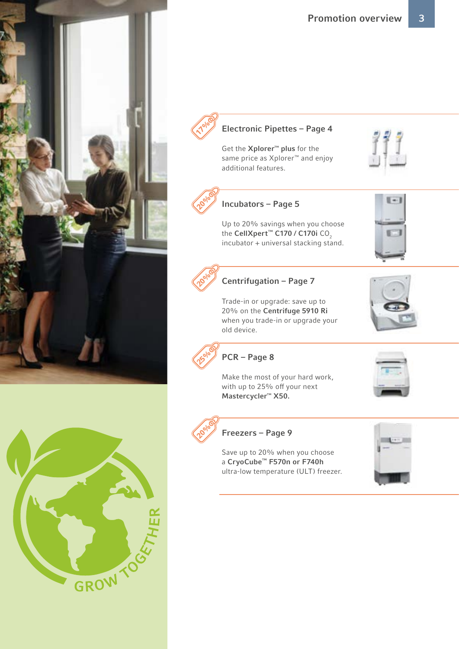



#### Electronic Pipettes – Page 4

Get the Xplorer™ plus for the same price as Xplorer™ and enjoy additional features.



 $8 - 8$ 



#### Incubators – Page 5

Up to 20% savings when you choose the CellXpert™ C170 / C170i CO<sub>2</sub> incubator + universal stacking stand.



#### Centrifugation – Page 7

Trade-in or upgrade: save up to 20% on the Centrifuge 5910 Ri when you trade-in or upgrade your old device.





PCR – Page 8

Make the most of your hard work, with up to 25% off your next Mastercycler™ X50.



#### Freezers – Page 9

Save up to 20% when you choose a CryoCube™ F570n or F740h ultra-low temperature (ULT) freezer.



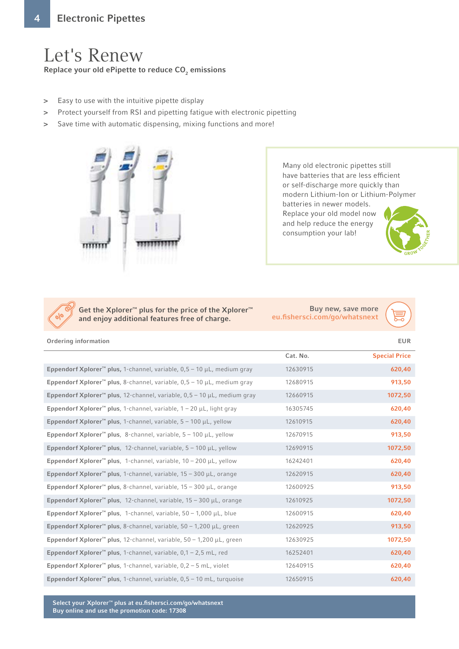## Let's Renew

Replace your old ePipette to reduce CO $_{\textrm{\tiny{2}}}$  emissions

- > Easy to use with the intuitive pipette display
- > Protect yourself from RSI and pipetting fatigue with electronic pipetting
- > Save time with automatic dispensing, mixing functions and more!



Many old electronic pipettes still have batteries that are less efficient or self-discharge more quickly than modern Lithium-Ion or Lithium-Polymer batteries in newer models. Replace your old model now and help reduce the energy consumption your lab!



Get the Xplorer™ plus for the price of the Xplorer™ and enjoy additional features free of charge.

Buy new, save more eu.fishersci.com/go/whatsnext



Ordering information EUR

|                                                                                          | Cat. No. | <b>Special Price</b> |
|------------------------------------------------------------------------------------------|----------|----------------------|
| Eppendorf Xplorer <sup>™</sup> plus, 1-channel, variable, $0,5 - 10 \mu L$ , medium gray | 12630915 | 620,40               |
| Eppendorf Xplorer <sup>™</sup> plus, 8-channel, variable, $0,5 - 10 \mu L$ , medium gray | 12680915 | 913,50               |
| Eppendorf Xplorer <sup>™</sup> plus, 12-channel, variable, 0,5 – 10 $\mu$ L, medium gray | 12660915 | 1072,50              |
| Eppendorf Xplorer <sup>™</sup> plus, 1-channel, variable, $1 - 20$ µL, light gray        | 16305745 | 620,40               |
| Eppendorf Xplorer <sup>™</sup> plus, 1-channel, variable, $5 - 100 \mu L$ , yellow       | 12610915 | 620,40               |
| Eppendorf Xplorer <sup>™</sup> plus, 8-channel, variable, $5 - 100 \mu L$ , yellow       | 12670915 | 913,50               |
| Eppendorf Xplorer <sup>™</sup> plus, 12-channel, variable, $5 - 100 \mu L$ , yellow      | 12690915 | 1072,50              |
| Eppendorf Xplorer <sup>™</sup> plus, 1-channel, variable, $10 - 200 \mu L$ , yellow      | 16242401 | 620,40               |
| Eppendorf Xplorer <sup>™</sup> plus, 1-channel, variable, $15 - 300 \mu L$ , orange      | 12620915 | 620,40               |
| Eppendorf Xplorer <sup>"</sup> plus, 8-channel, variable, $15 - 300 \mu L$ , orange      | 12600925 | 913,50               |
| Eppendorf Xplorer <sup>™</sup> plus, 12-channel, variable, $15 - 300 \mu L$ , orange     | 12610925 | 1072,50              |
| Eppendorf Xplorer <sup>™</sup> plus, 1-channel, variable, $50 - 1,000 \mu L$ , blue      | 12600915 | 620,40               |
| Eppendorf Xplorer <sup>™</sup> plus, 8-channel, variable, $50 - 1,200 \mu L$ , green     | 12620925 | 913,50               |
| Eppendorf Xplorer <sup>™</sup> plus, 12-channel, variable, $50 - 1,200 \mu L$ , green    | 12630925 | 1072,50              |
| Eppendorf Xplorer <sup>™</sup> plus, 1-channel, variable, $0,1 - 2,5$ mL, red            | 16252401 | 620,40               |
| Eppendorf Xplorer <sup>™</sup> plus, 1-channel, variable, $0,2 - 5$ mL, violet           | 12640915 | 620,40               |
| Eppendorf Xplorer <sup>™</sup> plus, 1-channel, variable, $0,5 - 10$ mL, turquoise       | 12650915 | 620,40               |

Select your Xplorer™ plus at eu.fishersci.com/go/whatsnext Buy online and use the promotion code: 17308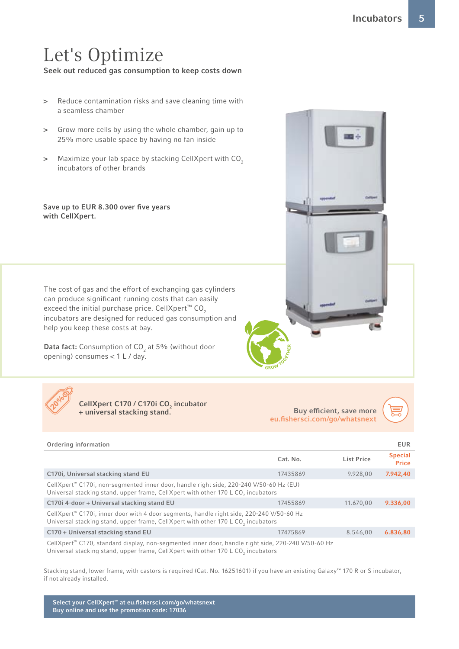## Let's Optimize

Seek out reduced gas consumption to keep costs down

- > Reduce contamination risks and save cleaning time with a seamless chamber
- > Grow more cells by using the whole chamber, gain up to 25% more usable space by having no fan inside
- > Maximize your lab space by stacking CellXpert with CO<sub>2</sub> incubators of other brands

#### Save up to EUR 8.300 over five years with CellXpert.

The cost of gas and the effort of exchanging gas cylinders can produce significant running costs that can easily exceed the initial purchase price. CellXpert<sup>™</sup> CO<sub>2</sub> incubators are designed for reduced gas consumption and help you keep these costs at bay.

**Data fact:** Consumption of CO<sub>2</sub> at 5% (without door opening) consumes < 1 L / day.





CellXpert C170 / C170i CO<sub>2</sub> incubator + universal stacking stand.

Buy efficient, save more eu.fishersci.com/go/whatsnex[t](http://www.eppendorf.com/promotions?utm_source=brochure&utm_medium=pdf&utm_campaign=re;whatsnext;leads&utm_term=unspecified;unspecified;unspecified&utm_content=eur;en;unspecified;unspecified;unspecified)



| Ordering information                                                                                                                                                                               |          |                   | <b>EUR</b>                     |
|----------------------------------------------------------------------------------------------------------------------------------------------------------------------------------------------------|----------|-------------------|--------------------------------|
|                                                                                                                                                                                                    | Cat. No. | <b>List Price</b> | <b>Special</b><br><b>Price</b> |
| C170i, Universal stacking stand EU                                                                                                                                                                 | 17435869 | 9.928.00          | 7.942,40                       |
| CellXpert <sup>™</sup> C170i, non-segmented inner door, handle right side, 220-240 V/50-60 Hz (EU)<br>Universal stacking stand, upper frame, CellXpert with other 170 L CO <sub>2</sub> incubators |          |                   |                                |
| C170i 4-door + Universal stacking stand EU                                                                                                                                                         | 17455869 | 11.670.00         | 9.336.00                       |
| CellXpert <sup>™</sup> C170i, inner door with 4 door segments, handle right side, 220-240 V/50-60 Hz<br>Universal stacking stand, upper frame, CellXpert with other 170 L CO, incubators           |          |                   |                                |
| C170 + Universal stacking stand EU                                                                                                                                                                 | 17475869 | 8.546.00          | 6.836,80                       |
| CellXpert™ C170, standard display, non-segmented inner door, handle right side, 220-240 V/50-60 Hz                                                                                                 |          |                   |                                |

Universal stacking stand, upper frame, CellXpert with other 170 L CO<sub>2</sub> incubators

Stacking stand, lower frame, with castors is required (Cat. No. 16251601) if you have an existing Galaxy™ 170 R or S incubator, if not already installed.

Select your CellXpert™ at eu.fishersci.com/go/whatsnext Buy online and use the promotion code: 17036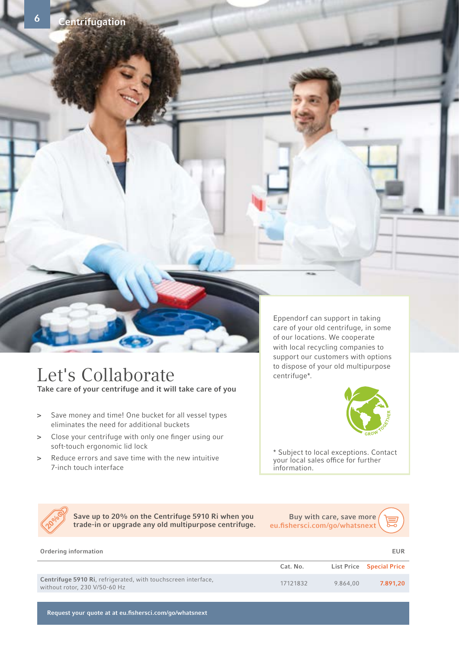

entrifugation

6

#### Let's Collaborate Take care of your centrifuge and it will take care of you

- > Save money and time! One bucket for all vessel types eliminates the need for additional buckets
- > Close your centrifuge with only one finger using our soft-touch ergonomic lid lock
- > Reduce errors and save time with the new intuitive 7-inch touch interface

Eppendorf can support in taking care of your old centrifuge, in some of our locations. We cooperate with local recycling companies to support our customers with options to dispose of your old multipurpose centrifuge\*.



\* Subject to local exceptions. Contact your local sales office for further information.



Save up to 20% on the Centrifuge 5910 Ri when you trade-in or upgrade any old multipurpose centrifuge.

Buy with care, save more eu.fishersci.com/go/whatsnext



Request your quote at at eu.fishersci.com/go/whatsnext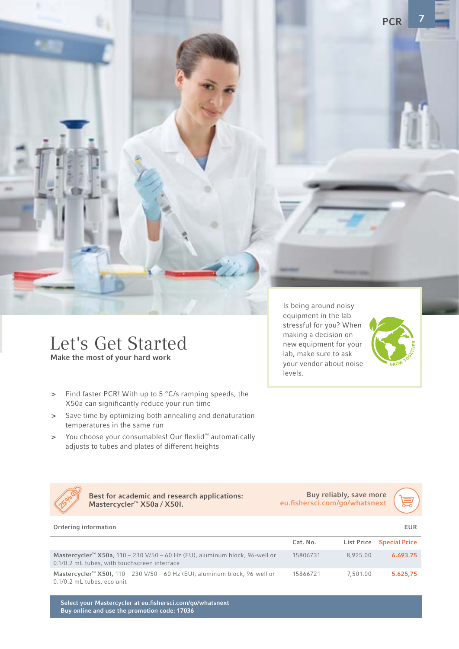Let's Get Started Make the most of your hard work

- > Find faster PCR! With up to 5 °C/s ramping speeds, the X50a can significantly reduce your run time
- > Save time by optimizing both annealing and denaturation temperatures in the same run
- > You choose your consumables! Our flexlid™ automatically adjusts to tubes and plates of different heights

Is being around noisy equipment in the lab stressful for you? When making a decision on new equipment for your lab, make sure to ask your vendor about noise levels.



7

**PCR** 

Best for academic and research applications: Mastercycler™ X50a / X50I. 25%

Buy reliably, save more eu.fishersci.com/go/whatsnex[t](http://www.eppendorf.com/promotions?utm_source=brochure&utm_medium=pdf&utm_campaign=re;whatsnext;leads&utm_term=unspecified;unspecified;unspecified&utm_content=eur;en;unspecified;unspecified;unspecified)



| Ordering information                                                                                                                    |          |          | EUR                             |
|-----------------------------------------------------------------------------------------------------------------------------------------|----------|----------|---------------------------------|
|                                                                                                                                         | Cat. No. |          | <b>List Price Special Price</b> |
| Mastercycler <sup>™</sup> X50a, 110 - 230 V/50 - 60 Hz (EU), aluminum block, 96-well or<br>0.1/0.2 mL tubes, with touchscreen interface | 15806731 | 8.925.00 | 6.693.75                        |
| Mastercycler <sup>™</sup> X50I, 110 - 230 V/50 - 60 Hz (EU), aluminum block, 96-well or<br>0.1/0.2 mL tubes, eco unit                   | 15866721 | 7.501.00 | 5.625.75                        |

Select your Mastercycler at eu.fishersci.com/go/whatsnext Buy online and use the promotion code: 17036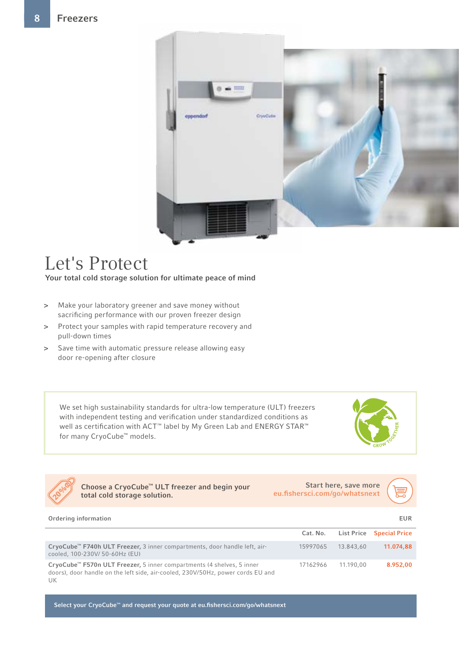

## Let's Protect

Your total cold storage solution for ultimate peace of mind

- > Make your laboratory greener and save money without sacrificing performance with our proven freezer design
- > Protect your samples with rapid temperature recovery and pull-down times
- > Save time with automatic pressure release allowing easy door re-opening after closure

We set high sustainability standards for ultra-low temperature (ULT) freezers with independent testing and verification under standardized conditions as well as certification with ACT<sup>™</sup> label by My Green Lab and ENERGY STAR<sup>™</sup> for many CryoCube<sup>™</sup> models.





Choose a CryoCube™ ULT freezer and begin your total cold storage solution.

Start here, save more eu.fishersci.com/go/whatsnext



| Ordering information                                                                                                                                                       |          |           | EUR                             |
|----------------------------------------------------------------------------------------------------------------------------------------------------------------------------|----------|-----------|---------------------------------|
|                                                                                                                                                                            | Cat. No. |           | <b>List Price Special Price</b> |
| CryoCube™ F740h ULT Freezer, 3 inner compartments, door handle left, air-<br>cooled, 100-230V/50-60Hz (EU)                                                                 | 15997065 | 13.843.60 | 11.074,88                       |
| CryoCube <sup>™</sup> F570n ULT Freezer, 5 inner compartments (4 shelves, 5 inner<br>doors), door handle on the left side, air-cooled, 230V/50Hz, power cords EU and<br>UK | 17162966 | 11.190.00 | 8.952.00                        |

Select your CryoCube™ and request your quote at eu.fishersci.com/go/whatsnext